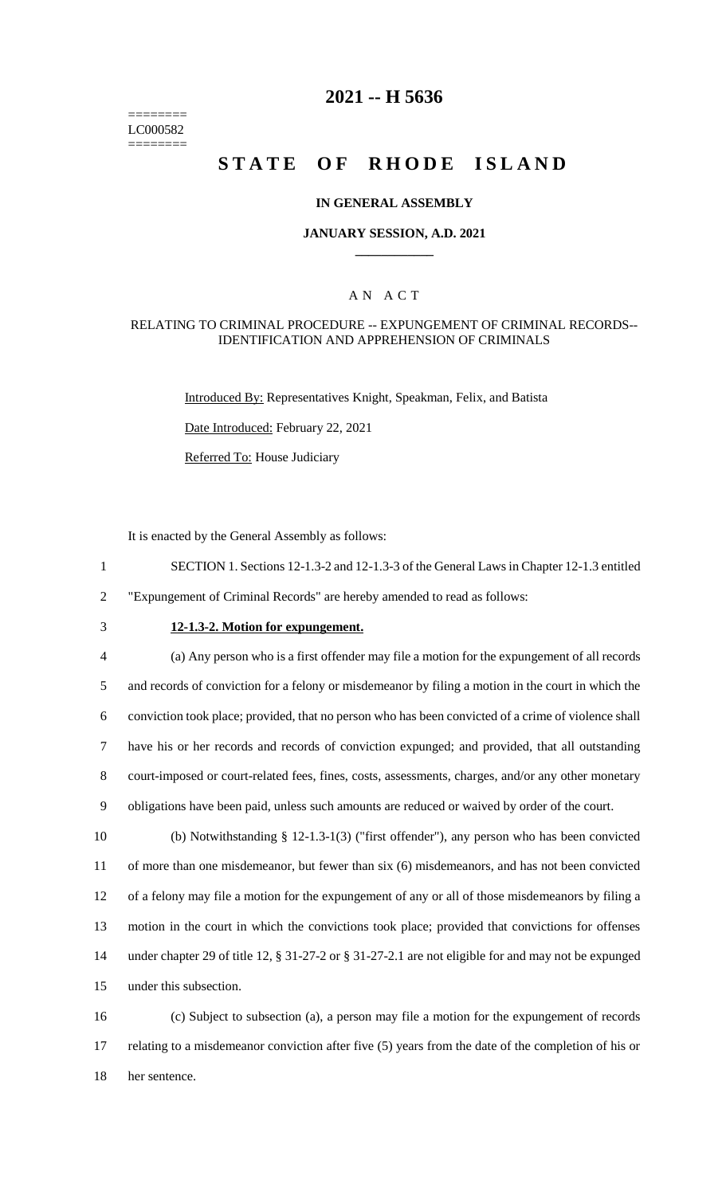======== LC000582 ========

## **2021 -- H 5636**

# **STATE OF RHODE ISLAND**

#### **IN GENERAL ASSEMBLY**

#### **JANUARY SESSION, A.D. 2021 \_\_\_\_\_\_\_\_\_\_\_\_**

### A N A C T

#### RELATING TO CRIMINAL PROCEDURE -- EXPUNGEMENT OF CRIMINAL RECORDS-- IDENTIFICATION AND APPREHENSION OF CRIMINALS

Introduced By: Representatives Knight, Speakman, Felix, and Batista

Date Introduced: February 22, 2021

Referred To: House Judiciary

It is enacted by the General Assembly as follows:

- 1 SECTION 1. Sections 12-1.3-2 and 12-1.3-3 of the General Laws in Chapter 12-1.3 entitled
- 2 "Expungement of Criminal Records" are hereby amended to read as follows:
- 

## 3 **12-1.3-2. Motion for expungement.**

 (a) Any person who is a first offender may file a motion for the expungement of all records and records of conviction for a felony or misdemeanor by filing a motion in the court in which the conviction took place; provided, that no person who has been convicted of a crime of violence shall have his or her records and records of conviction expunged; and provided, that all outstanding court-imposed or court-related fees, fines, costs, assessments, charges, and/or any other monetary obligations have been paid, unless such amounts are reduced or waived by order of the court.

 (b) Notwithstanding § 12-1.3-1(3) ("first offender"), any person who has been convicted of more than one misdemeanor, but fewer than six (6) misdemeanors, and has not been convicted of a felony may file a motion for the expungement of any or all of those misdemeanors by filing a motion in the court in which the convictions took place; provided that convictions for offenses under chapter 29 of title 12, § 31-27-2 or § 31-27-2.1 are not eligible for and may not be expunged under this subsection.

16 (c) Subject to subsection (a), a person may file a motion for the expungement of records 17 relating to a misdemeanor conviction after five (5) years from the date of the completion of his or 18 her sentence.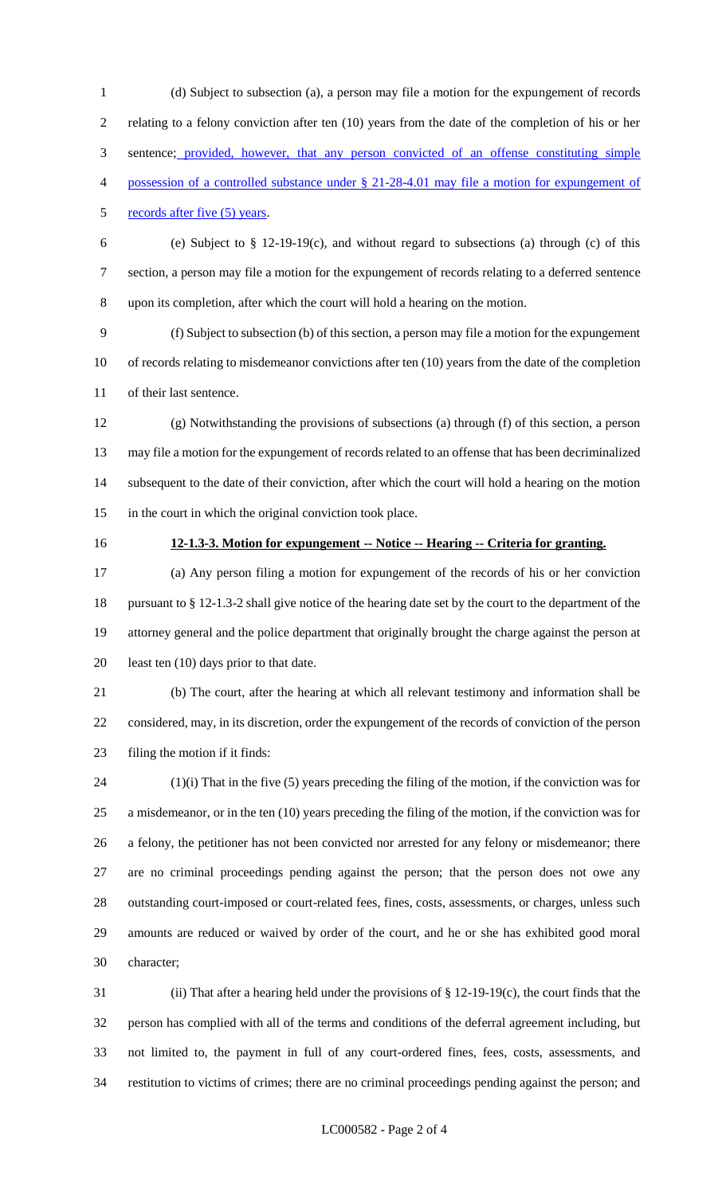(d) Subject to subsection (a), a person may file a motion for the expungement of records relating to a felony conviction after ten (10) years from the date of the completion of his or her 3 sentence; provided, however, that any person convicted of an offense constituting simple possession of a controlled substance under § 21-28-4.01 may file a motion for expungement of records after five (5) years. (e) Subject to § 12-19-19(c), and without regard to subsections (a) through (c) of this section, a person may file a motion for the expungement of records relating to a deferred sentence upon its completion, after which the court will hold a hearing on the motion. (f) Subject to subsection (b) of this section, a person may file a motion for the expungement of records relating to misdemeanor convictions after ten (10) years from the date of the completion of their last sentence. (g) Notwithstanding the provisions of subsections (a) through (f) of this section, a person

 may file a motion for the expungement of records related to an offense that has been decriminalized subsequent to the date of their conviction, after which the court will hold a hearing on the motion in the court in which the original conviction took place.

#### **12-1.3-3. Motion for expungement -- Notice -- Hearing -- Criteria for granting.**

 (a) Any person filing a motion for expungement of the records of his or her conviction pursuant to § 12-1.3-2 shall give notice of the hearing date set by the court to the department of the attorney general and the police department that originally brought the charge against the person at 20 least ten (10) days prior to that date.

 (b) The court, after the hearing at which all relevant testimony and information shall be considered, may, in its discretion, order the expungement of the records of conviction of the person filing the motion if it finds:

 (1)(i) That in the five (5) years preceding the filing of the motion, if the conviction was for a misdemeanor, or in the ten (10) years preceding the filing of the motion, if the conviction was for a felony, the petitioner has not been convicted nor arrested for any felony or misdemeanor; there are no criminal proceedings pending against the person; that the person does not owe any outstanding court-imposed or court-related fees, fines, costs, assessments, or charges, unless such amounts are reduced or waived by order of the court, and he or she has exhibited good moral character;

 (ii) That after a hearing held under the provisions of § 12-19-19(c), the court finds that the person has complied with all of the terms and conditions of the deferral agreement including, but not limited to, the payment in full of any court-ordered fines, fees, costs, assessments, and restitution to victims of crimes; there are no criminal proceedings pending against the person; and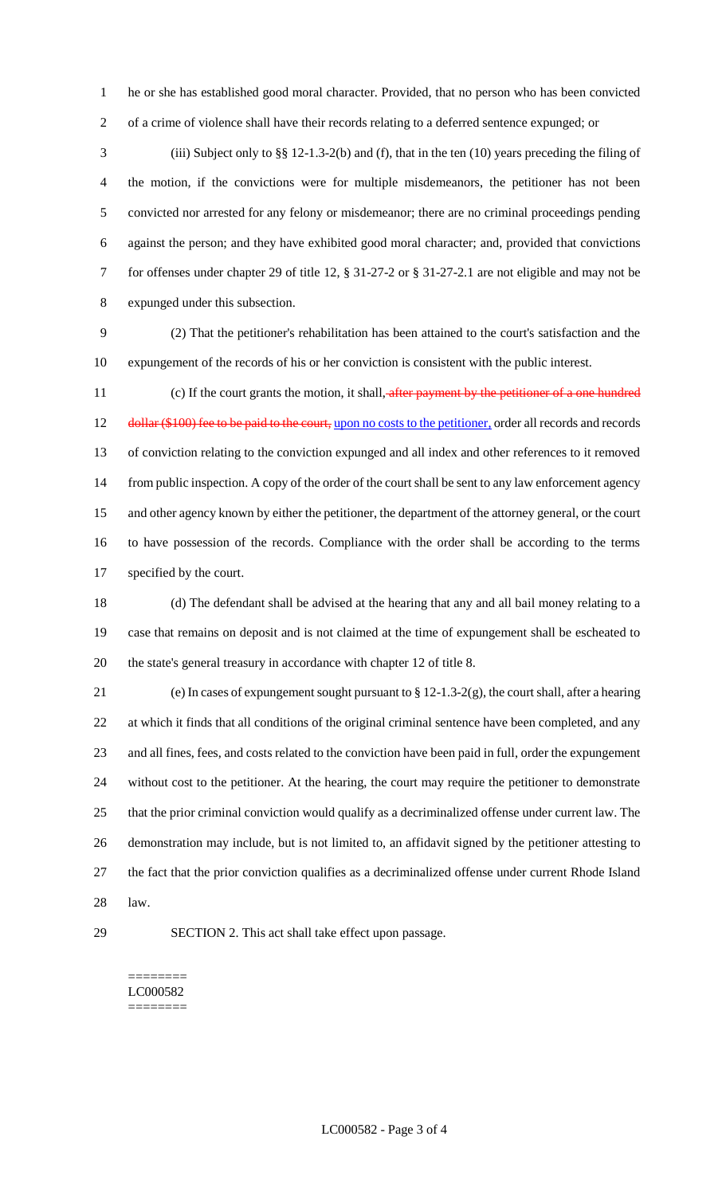he or she has established good moral character. Provided, that no person who has been convicted of a crime of violence shall have their records relating to a deferred sentence expunged; or

 (iii) Subject only to §§ 12-1.3-2(b) and (f), that in the ten (10) years preceding the filing of the motion, if the convictions were for multiple misdemeanors, the petitioner has not been convicted nor arrested for any felony or misdemeanor; there are no criminal proceedings pending against the person; and they have exhibited good moral character; and, provided that convictions for offenses under chapter 29 of title 12, § 31-27-2 or § 31-27-2.1 are not eligible and may not be expunged under this subsection.

 (2) That the petitioner's rehabilitation has been attained to the court's satisfaction and the expungement of the records of his or her conviction is consistent with the public interest.

11 (c) If the court grants the motion, it shall, after payment by the petitioner of a one hundred 12 dollar (\$100) fee to be paid to the court, upon no costs to the petitioner, order all records and records of conviction relating to the conviction expunged and all index and other references to it removed from public inspection. A copy of the order of the court shall be sent to any law enforcement agency and other agency known by either the petitioner, the department of the attorney general, or the court to have possession of the records. Compliance with the order shall be according to the terms specified by the court.

 (d) The defendant shall be advised at the hearing that any and all bail money relating to a case that remains on deposit and is not claimed at the time of expungement shall be escheated to the state's general treasury in accordance with chapter 12 of title 8.

 (e) In cases of expungement sought pursuant to § 12-1.3-2(g), the court shall, after a hearing at which it finds that all conditions of the original criminal sentence have been completed, and any and all fines, fees, and costs related to the conviction have been paid in full, order the expungement without cost to the petitioner. At the hearing, the court may require the petitioner to demonstrate that the prior criminal conviction would qualify as a decriminalized offense under current law. The demonstration may include, but is not limited to, an affidavit signed by the petitioner attesting to the fact that the prior conviction qualifies as a decriminalized offense under current Rhode Island law.

SECTION 2. This act shall take effect upon passage.

#### ======== LC000582 ========